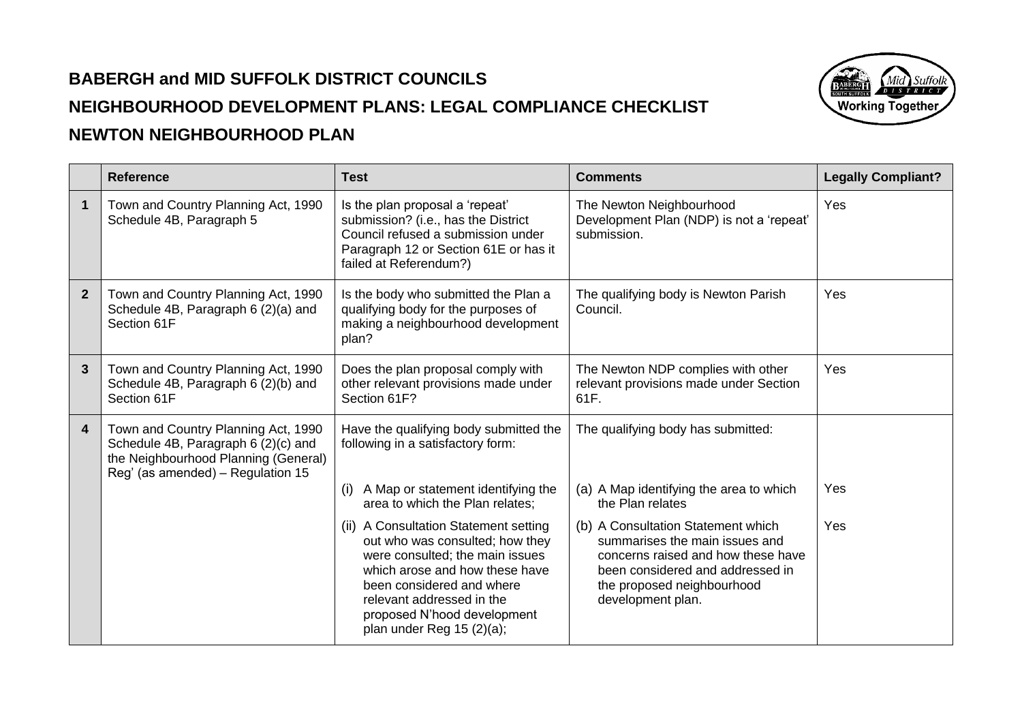## **BABERGH and MID SUFFOLK DISTRICT COUNCILS NEIGHBOURHOOD DEVELOPMENT PLANS: LEGAL COMPLIANCE CHECKLIST NEWTON NEIGHBOURHOOD PLAN**



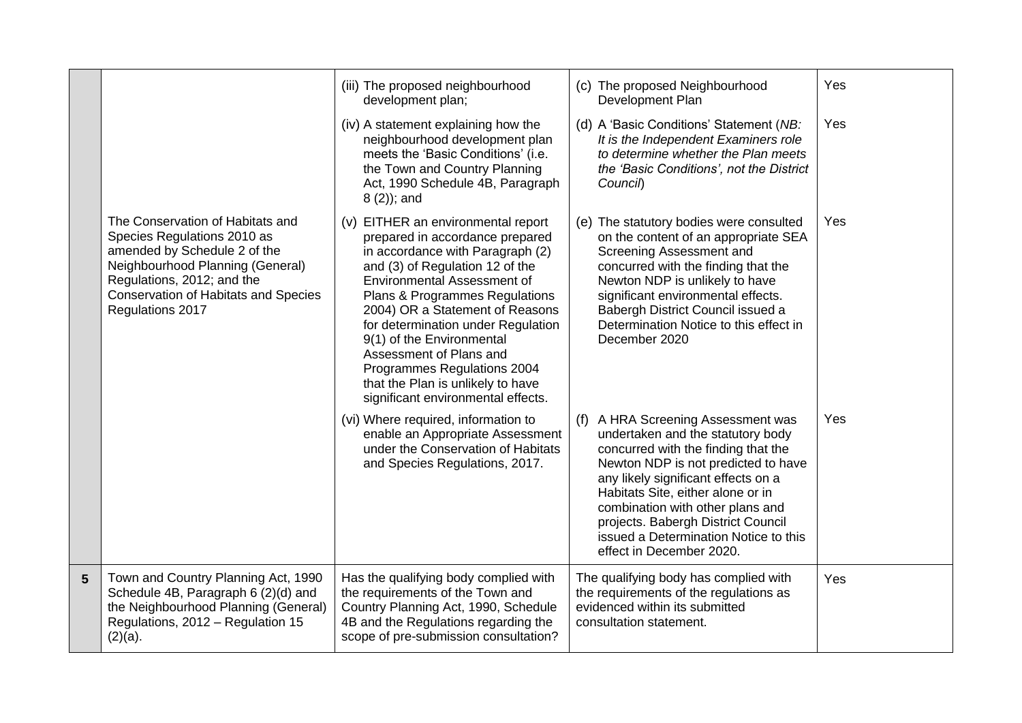|                |                                                                                                                                                                                                                                      | (iii) The proposed neighbourhood<br>development plan;                                                                                                                                                                                                                                                                                                                                                                                                           | (c) The proposed Neighbourhood<br>Development Plan                                                                                                                                                                                                                                                                                                                                  | Yes        |
|----------------|--------------------------------------------------------------------------------------------------------------------------------------------------------------------------------------------------------------------------------------|-----------------------------------------------------------------------------------------------------------------------------------------------------------------------------------------------------------------------------------------------------------------------------------------------------------------------------------------------------------------------------------------------------------------------------------------------------------------|-------------------------------------------------------------------------------------------------------------------------------------------------------------------------------------------------------------------------------------------------------------------------------------------------------------------------------------------------------------------------------------|------------|
|                |                                                                                                                                                                                                                                      | (iv) A statement explaining how the<br>neighbourhood development plan<br>meets the 'Basic Conditions' (i.e.<br>the Town and Country Planning<br>Act, 1990 Schedule 4B, Paragraph<br>$8(2)$ ; and                                                                                                                                                                                                                                                                | (d) A 'Basic Conditions' Statement (NB:<br>It is the Independent Examiners role<br>to determine whether the Plan meets<br>the 'Basic Conditions', not the District<br>Council)                                                                                                                                                                                                      | Yes        |
|                | The Conservation of Habitats and<br>Species Regulations 2010 as<br>amended by Schedule 2 of the<br>Neighbourhood Planning (General)<br>Regulations, 2012; and the<br><b>Conservation of Habitats and Species</b><br>Regulations 2017 | (v) EITHER an environmental report<br>prepared in accordance prepared<br>in accordance with Paragraph (2)<br>and (3) of Regulation 12 of the<br><b>Environmental Assessment of</b><br>Plans & Programmes Regulations<br>2004) OR a Statement of Reasons<br>for determination under Regulation<br>9(1) of the Environmental<br>Assessment of Plans and<br>Programmes Regulations 2004<br>that the Plan is unlikely to have<br>significant environmental effects. | (e) The statutory bodies were consulted<br>on the content of an appropriate SEA<br>Screening Assessment and<br>concurred with the finding that the<br>Newton NDP is unlikely to have<br>significant environmental effects.<br>Babergh District Council issued a<br>Determination Notice to this effect in<br>December 2020                                                          | <b>Yes</b> |
|                |                                                                                                                                                                                                                                      | (vi) Where required, information to<br>enable an Appropriate Assessment<br>under the Conservation of Habitats<br>and Species Regulations, 2017.                                                                                                                                                                                                                                                                                                                 | A HRA Screening Assessment was<br>(f)<br>undertaken and the statutory body<br>concurred with the finding that the<br>Newton NDP is not predicted to have<br>any likely significant effects on a<br>Habitats Site, either alone or in<br>combination with other plans and<br>projects. Babergh District Council<br>issued a Determination Notice to this<br>effect in December 2020. | Yes        |
| $5\phantom{1}$ | Town and Country Planning Act, 1990<br>Schedule 4B, Paragraph 6 (2)(d) and<br>the Neighbourhood Planning (General)<br>Regulations, 2012 - Regulation 15<br>$(2)(a)$ .                                                                | Has the qualifying body complied with<br>the requirements of the Town and<br>Country Planning Act, 1990, Schedule<br>4B and the Regulations regarding the<br>scope of pre-submission consultation?                                                                                                                                                                                                                                                              | The qualifying body has complied with<br>the requirements of the regulations as<br>evidenced within its submitted<br>consultation statement.                                                                                                                                                                                                                                        | Yes        |